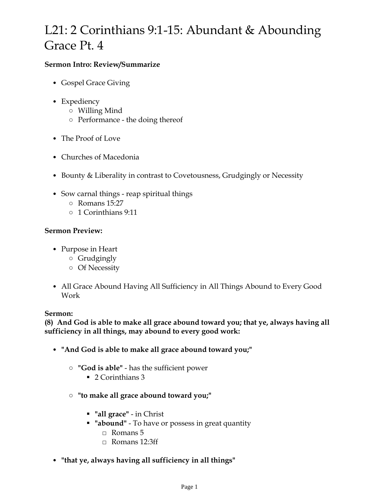# L21: 2 Corinthians 9:1-15: Abundant & Abounding Grace Pt. 4

# **Sermon Intro: Review/Summarize**

- Gospel Grace Giving
- Expediency
	- Willing Mind
	- Performance the doing thereof
- The Proof of Love
- Churches of Macedonia
- Bounty & Liberality in contrast to Covetousness, Grudgingly or Necessity
- Sow carnal things reap spiritual things
	- Romans 15:27
	- 1 Corinthians 9:11

# **Sermon Preview:**

- Purpose in Heart
	- Grudgingly
	- Of Necessity
- All Grace Abound Having All Sufficiency in All Things Abound to Every Good Work

## **Sermon:**

**(8) And God is able to make all grace abound toward you; that ye, always having all sufficiency in all things, may abound to every good work:**

- **"And God is able to make all grace abound toward you;"**
	- **"God is able"** has the sufficient power
		- 2 Corinthians 3
	- **"to make all grace abound toward you;"**
		- **"all grace"** in Christ
		- **"abound"** To have or possess in great quantity
			- □ Romans 5
			- $\Box$  Romans 12:3ff
- **"that ye, always having all sufficiency in all things"**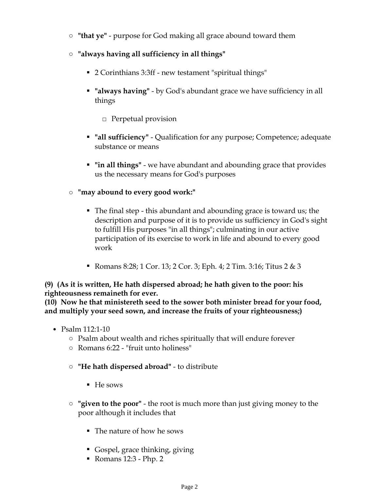- **"that ye"** purpose for God making all grace abound toward them
- **"always having all sufficiency in all things"**
	- 2 Corinthians 3:3ff new testament "spiritual things"
	- **"always having"** by God's abundant grace we have sufficiency in all things
		- □ Perpetual provision
	- **"all sufficiency"** Qualification for any purpose; Competence; adequate substance or means
	- **"in all things"** we have abundant and abounding grace that provides us the necessary means for God's purposes
- **"may abound to every good work:"**
	- The final step this abundant and abounding grace is toward us; the description and purpose of it is to provide us sufficiency in God's sight to fulfill His purposes "in all things"; culminating in our active participation of its exercise to work in life and abound to every good work
	- Romans 8:28; 1 Cor. 13; 2 Cor. 3; Eph. 4; 2 Tim. 3:16; Titus 2 & 3

**(9) (As it is written, He hath dispersed abroad; he hath given to the poor: his righteousness remaineth for ever.**

**(10) Now he that ministereth seed to the sower both minister bread for your food, and multiply your seed sown, and increase the fruits of your righteousness;)**

- Psalm 112:1-10
	- Psalm about wealth and riches spiritually that will endure forever
	- Romans 6:22 "fruit unto holiness"
	- **"He hath dispersed abroad"** to distribute
		- He sows
	- **"given to the poor"** the root is much more than just giving money to the poor although it includes that
		- The nature of how he sows
		- Gospel, grace thinking, giving
		- Romans 12:3 Php. 2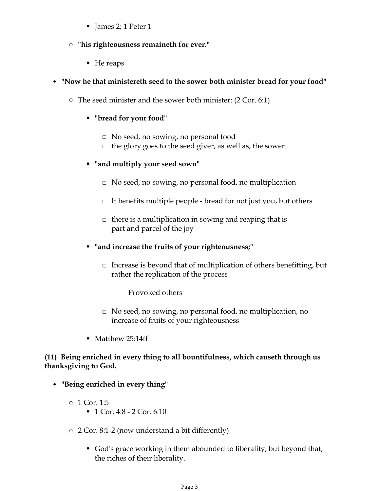- James 2; 1 Peter 1
- **"his righteousness remaineth for ever."**
	- He reaps

## • **"Now he that ministereth seed to the sower both minister bread for your food"**

○ The seed minister and the sower both minister: (2 Cor. 6:1)

### ▪ **"bread for your food"**

- □ No seed, no sowing, no personal food
- $\Box$  the glory goes to the seed giver, as well as, the sower

### ▪ **"and multiply your seed sown"**

- $\Box$  No seed, no sowing, no personal food, no multiplication
- $\Box$  It benefits multiple people bread for not just you, but others
- $\Box$  there is a multiplication in sowing and reaping that is part and parcel of the joy
- **"and increase the fruits of your righteousness;"**
	- $\Box$  Increase is beyond that of multiplication of others benefitting, but rather the replication of the process
		- Provoked others
	- □ No seed, no sowing, no personal food, no multiplication, no increase of fruits of your righteousness
- Matthew 25:14ff

### **(11) Being enriched in every thing to all bountifulness, which causeth through us thanksgiving to God.**

- **"Being enriched in every thing"** 
	- 1 Cor. 1:5
		- 1 Cor. 4:8 2 Cor. 6:10
	- 2 Cor. 8:1-2 (now understand a bit differently)
		- God's grace working in them abounded to liberality, but beyond that, the riches of their liberality.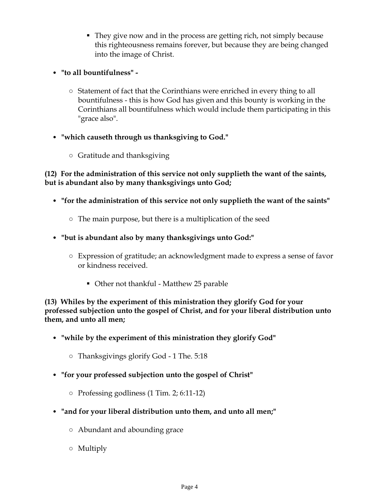- They give now and in the process are getting rich, not simply because this righteousness remains forever, but because they are being changed into the image of Christ.
- **"to all bountifulness" -**
	- Statement of fact that the Corinthians were enriched in every thing to all bountifulness - this is how God has given and this bounty is working in the Corinthians all bountifulness which would include them participating in this "grace also".
- **"which causeth through us thanksgiving to God."**
	- Gratitude and thanksgiving

**(12) For the administration of this service not only supplieth the want of the saints, but is abundant also by many thanksgivings unto God;**

- **"for the administration of this service not only supplieth the want of the saints"**
	- The main purpose, but there is a multiplication of the seed
- **"but is abundant also by many thanksgivings unto God:"**
	- Expression of gratitude; an acknowledgment made to express a sense of favor or kindness received.
		- Other not thankful Matthew 25 parable

**(13) Whiles by the experiment of this ministration they glorify God for your professed subjection unto the gospel of Christ, and for your liberal distribution unto them, and unto all men;**

- **"while by the experiment of this ministration they glorify God"**
	- Thanksgivings glorify God 1 The. 5:18
- **"for your professed subjection unto the gospel of Christ"**
	- Professing godliness (1 Tim. 2; 6:11-12)
- **"and for your liberal distribution unto them, and unto all men;"**
	- Abundant and abounding grace
	- Multiply